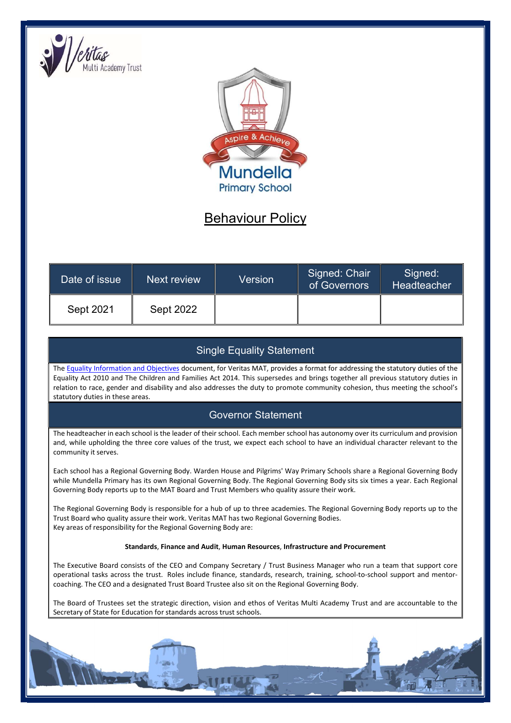



# Behaviour Policy

| Date of issue | Next review      | Version | Signed: Chair<br>of Governors | Signed:<br>Headteacher |
|---------------|------------------|---------|-------------------------------|------------------------|
| Sept 2021     | <b>Sept 2022</b> |         |                               |                        |

# Single Equality Statement

The Equality Information and Objectives document, for Veritas MAT, provides a format for addressing the statutory duties of the Equality Act 2010 and The Children and Families Act 2014. This supersedes and brings together all previous statutory duties in relation to race, gender and disability and also addresses the duty to promote community cohesion, thus meeting the school's statutory duties in these areas.

# Governor Statement

The headteacher in each school is the leader of their school. Each member school has autonomy over its curriculum and provision and, while upholding the three core values of the trust, we expect each school to have an individual character relevant to the community it serves.

Each school has a Regional Governing Body. Warden House and Pilgrims' Way Primary Schools share a Regional Governing Body while Mundella Primary has its own Regional Governing Body. The Regional Governing Body sits six times a year. Each Regional Governing Body reports up to the MAT Board and Trust Members who quality assure their work.

The Regional Governing Body is responsible for a hub of up to three academies. The Regional Governing Body reports up to the Trust Board who quality assure their work. Veritas MAT has two Regional Governing Bodies. Key areas of responsibility for the Regional Governing Body are:

#### Standards, Finance and Audit, Human Resources, Infrastructure and Procurement

The Executive Board consists of the CEO and Company Secretary / Trust Business Manager who run a team that support core operational tasks across the trust. Roles include finance, standards, research, training, school-to-school support and mentorcoaching. The CEO and a designated Trust Board Trustee also sit on the Regional Governing Body.

The Board of Trustees set the strategic direction, vision and ethos of Veritas Multi Academy Trust and are accountable to the Secretary of State for Education for standards across trust schools.

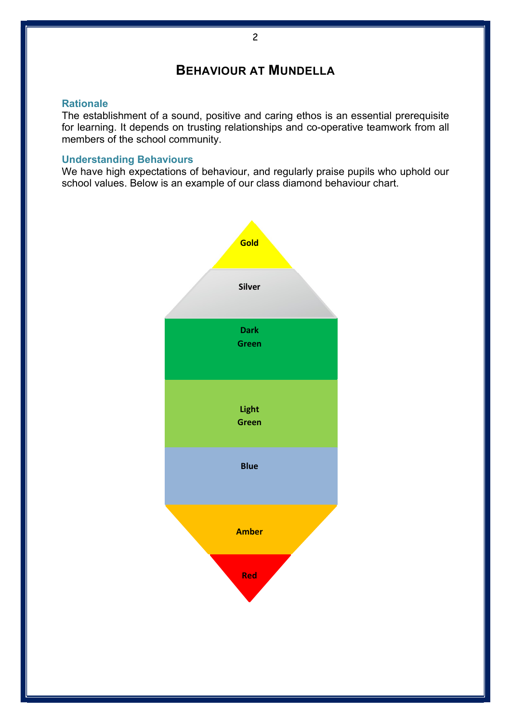# BEHAVIOUR AT MUNDELLA

### **Rationale**

The establishment of a sound, positive and caring ethos is an essential prerequisite for learning. It depends on trusting relationships and co-operative teamwork from all members of the school community.

## Understanding Behaviours

We have high expectations of behaviour, and regularly praise pupils who uphold our school values. Below is an example of our class diamond behaviour chart.

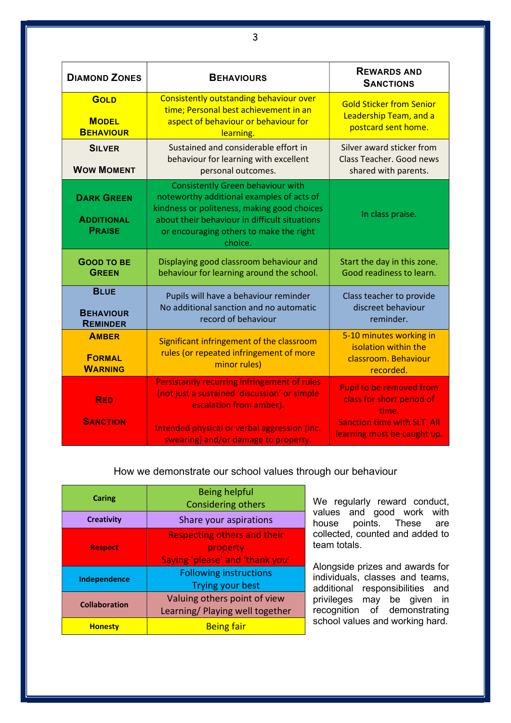| <b>DIAMOND ZONES</b>                                    | <b>BEHAVIOURS</b>                                                                                                                                                                                                                           | <b>REWARDS AND</b><br><b>SANCTIONS</b>                                                                                                     |
|---------------------------------------------------------|---------------------------------------------------------------------------------------------------------------------------------------------------------------------------------------------------------------------------------------------|--------------------------------------------------------------------------------------------------------------------------------------------|
| <b>GOLD</b><br><b>MODEL</b><br><b>BEHAVIOUR</b>         | Consistently outstanding behaviour over<br>time; Personal best achievement in an<br>aspect of behaviour or behaviour for<br>learning.                                                                                                       | <b>Gold Sticker from Senior</b><br>Leadership Team, and a<br>postcard sent home.                                                           |
| <b>SILVER</b><br><b>WOW MOMENT</b>                      | Sustained and considerable effort in<br>behaviour for learning with excellent<br>personal outcomes.                                                                                                                                         | Silver award sticker from<br>Class Teacher, Good news<br>shared with parents.                                                              |
| <b>DARK GREEN</b><br><b>ADDITIONAL</b><br><b>PRAISE</b> | <b>Consistently Green behaviour with</b><br>noteworthy additional examples of acts of<br>kindness or politeness, making good choices<br>about their behaviour in difficult situations<br>or encouraging others to make the right<br>choice. | In class praise.                                                                                                                           |
| <b>GOOD TO BE</b><br><b>GREEN</b>                       | Displaying good classroom behaviour and<br>behaviour for learning around the school.                                                                                                                                                        | Start the day in this zone.<br>Good readiness to learn.                                                                                    |
| <b>BLUE</b><br><b>BEHAVIOUR</b><br><b>REMINDER</b>      | Pupils will have a behaviour reminder<br>No additional sanction and no automatic<br>record of behaviour                                                                                                                                     | Class teacher to provide<br>discreet behaviour<br>reminder.                                                                                |
| <b>AMBER</b><br><b>FORMAL</b><br><b>WARNING</b>         | Significant infringement of the classroom<br>rules (or repeated infringement of more<br>minor rules)                                                                                                                                        | 5-10 minutes working in<br>isolation within the<br>classroom. Behaviour<br>recorded.                                                       |
| <b>RED</b><br><b>SANCTION</b>                           | Persistantly recurring infringement of rules<br>(not just a sustained 'discussion' or simple<br>escalation from amber).<br>Intended physical or verbal aggression (inc.<br>swearing) and/or damage to property.                             | <b>Pupil to be removed from</b><br>class for short period of<br>time.<br><b>Sanction time with SLT. All</b><br>learning must be caught up. |

## How we demonstrate our school values through our behaviour

| Caring               | <b>Being helpful</b><br><b>Considering others</b> |  |
|----------------------|---------------------------------------------------|--|
| <b>Creativity</b>    | Share your aspirations                            |  |
|                      | <b>Respecting others and their</b>                |  |
| <b>Respect</b>       | property                                          |  |
|                      | Saying 'please' and 'thank you'                   |  |
|                      | <b>Following instructions</b>                     |  |
| Independence         | <b>Trying your best</b>                           |  |
| <b>Collaboration</b> | Valuing others point of view                      |  |
|                      | Learning/ Playing well together                   |  |
| <b>Honesty</b>       | <b>Being fair</b>                                 |  |

We regularly reward conduct, values and good work with house points. These are collected, counted and added to team totals.

Alongside prizes and awards for individuals, classes and teams, additional responsibilities and privileges may be given in recognition of demonstrating school values and working hard.

3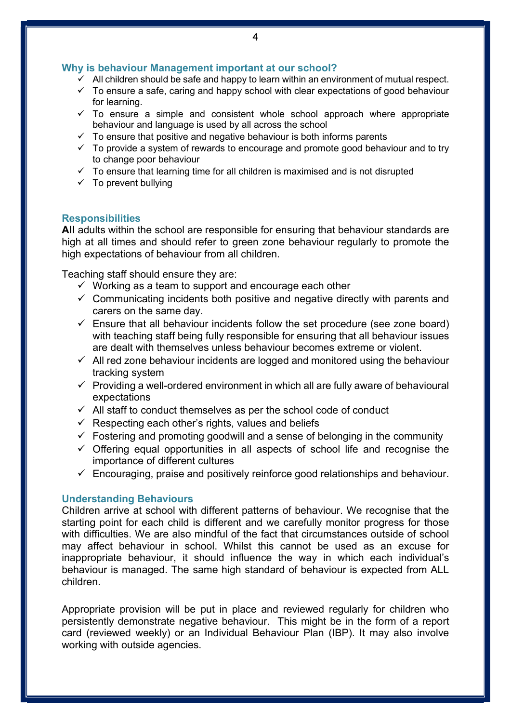### Why is behaviour Management important at our school?

- $\checkmark$  All children should be safe and happy to learn within an environment of mutual respect.
- $\checkmark$  To ensure a safe, caring and happy school with clear expectations of good behaviour for learning.
- $\checkmark$  To ensure a simple and consistent whole school approach where appropriate behaviour and language is used by all across the school
- $\checkmark$  To ensure that positive and negative behaviour is both informs parents
- $\checkmark$  To provide a system of rewards to encourage and promote good behaviour and to try to change poor behaviour
- $\checkmark$  To ensure that learning time for all children is maximised and is not disrupted
- $\checkmark$  To prevent bullying

### **Responsibilities**

All adults within the school are responsible for ensuring that behaviour standards are high at all times and should refer to green zone behaviour regularly to promote the high expectations of behaviour from all children.

Teaching staff should ensure they are:

- $\checkmark$  Working as a team to support and encourage each other
- $\checkmark$  Communicating incidents both positive and negative directly with parents and carers on the same day.
- $\checkmark$  Ensure that all behaviour incidents follow the set procedure (see zone board) with teaching staff being fully responsible for ensuring that all behaviour issues are dealt with themselves unless behaviour becomes extreme or violent.
- $\checkmark$  All red zone behaviour incidents are logged and monitored using the behaviour tracking system
- $\checkmark$  Providing a well-ordered environment in which all are fully aware of behavioural expectations
- $\checkmark$  All staff to conduct themselves as per the school code of conduct
- $\checkmark$  Respecting each other's rights, values and beliefs
- $\checkmark$  Fostering and promoting goodwill and a sense of belonging in the community
- $\checkmark$  Offering equal opportunities in all aspects of school life and recognise the importance of different cultures
- $\checkmark$  Encouraging, praise and positively reinforce good relationships and behaviour.

### Understanding Behaviours

Children arrive at school with different patterns of behaviour. We recognise that the starting point for each child is different and we carefully monitor progress for those with difficulties. We are also mindful of the fact that circumstances outside of school may affect behaviour in school. Whilst this cannot be used as an excuse for inappropriate behaviour, it should influence the way in which each individual's behaviour is managed. The same high standard of behaviour is expected from ALL children.

Appropriate provision will be put in place and reviewed regularly for children who persistently demonstrate negative behaviour. This might be in the form of a report card (reviewed weekly) or an Individual Behaviour Plan (IBP). It may also involve working with outside agencies.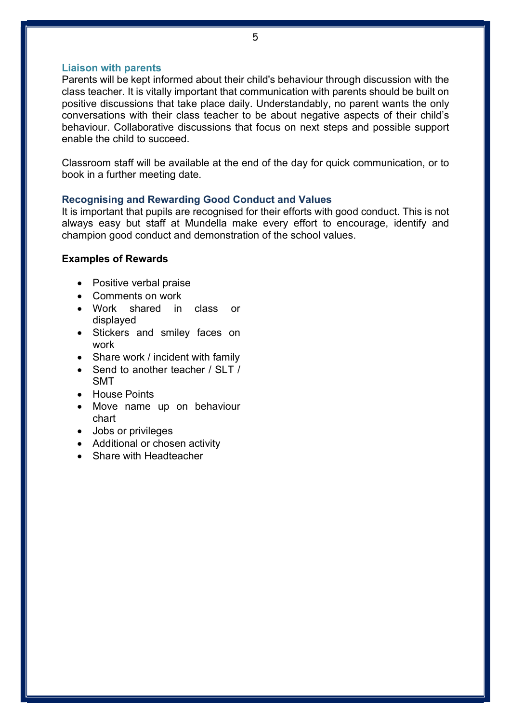#### Liaison with parents

Parents will be kept informed about their child's behaviour through discussion with the class teacher. It is vitally important that communication with parents should be built on positive discussions that take place daily. Understandably, no parent wants the only conversations with their class teacher to be about negative aspects of their child's behaviour. Collaborative discussions that focus on next steps and possible support enable the child to succeed.

Classroom staff will be available at the end of the day for quick communication, or to book in a further meeting date.

#### Recognising and Rewarding Good Conduct and Values

It is important that pupils are recognised for their efforts with good conduct. This is not always easy but staff at Mundella make every effort to encourage, identify and champion good conduct and demonstration of the school values.

#### Examples of Rewards

- Positive verbal praise
- Comments on work
- Work shared in class or displayed
- Stickers and smiley faces on work
- Share work / incident with family
- Send to another teacher / SLT / SMT
- House Points
- Move name up on behaviour chart
- Jobs or privileges
- Additional or chosen activity
- Share with Headteacher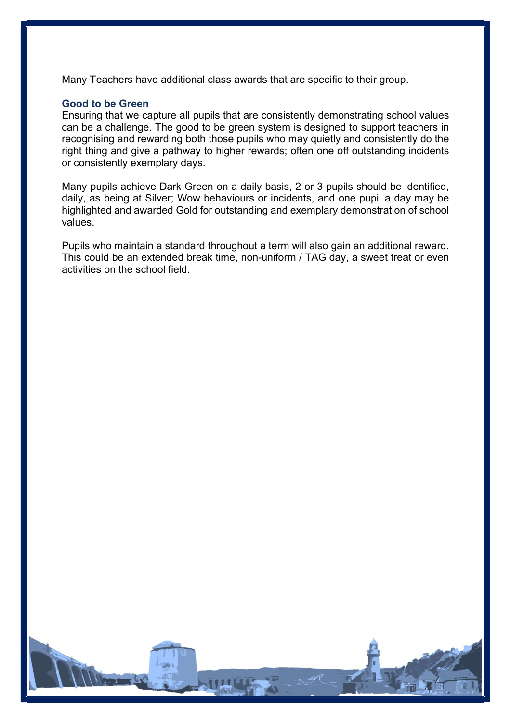Many Teachers have additional class awards that are specific to their group.

#### Good to be Green

Ensuring that we capture all pupils that are consistently demonstrating school values can be a challenge. The good to be green system is designed to support teachers in recognising and rewarding both those pupils who may quietly and consistently do the right thing and give a pathway to higher rewards; often one off outstanding incidents or consistently exemplary days.

Many pupils achieve Dark Green on a daily basis, 2 or 3 pupils should be identified, daily, as being at Silver; Wow behaviours or incidents, and one pupil a day may be highlighted and awarded Gold for outstanding and exemplary demonstration of school values.

Pupils who maintain a standard throughout a term will also gain an additional reward. This could be an extended break time, non-uniform / TAG day, a sweet treat or even activities on the school field.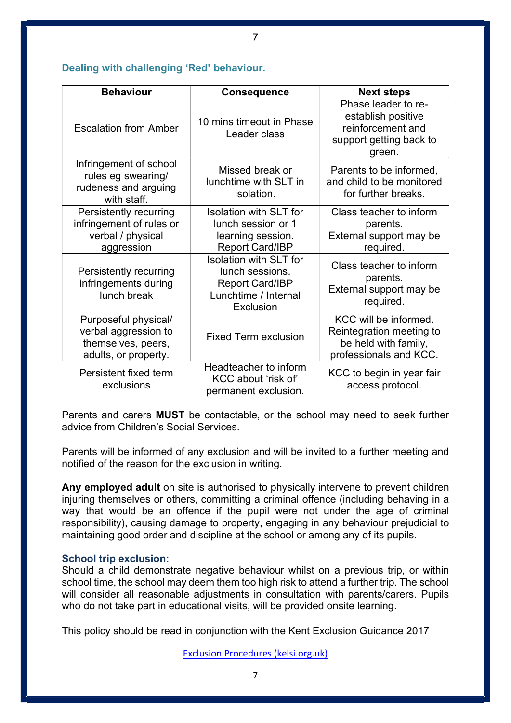### Dealing with challenging 'Red' behaviour.

| <b>Behaviour</b>                                                                           | Consequence                                                                                                     | <b>Next steps</b>                                                                                   |
|--------------------------------------------------------------------------------------------|-----------------------------------------------------------------------------------------------------------------|-----------------------------------------------------------------------------------------------------|
| <b>Escalation from Amber</b>                                                               | 10 mins timeout in Phase<br>Leader class                                                                        | Phase leader to re-<br>establish positive<br>reinforcement and<br>support getting back to<br>green. |
| Infringement of school<br>rules eg swearing/<br>rudeness and arguing<br>with staff.        | Missed break or<br>lunchtime with SLT in<br>isolation.                                                          | Parents to be informed,<br>and child to be monitored<br>for further breaks.                         |
| Persistently recurring<br>infringement of rules or<br>verbal / physical<br>aggression      | <b>Isolation with SLT for</b><br>lunch session or 1<br>learning session.<br><b>Report Card/IBP</b>              | Class teacher to inform<br>parents.<br>External support may be<br>required.                         |
| Persistently recurring<br>infringements during<br>lunch break                              | <b>Isolation with SLT for</b><br>lunch sessions.<br><b>Report Card/IBP</b><br>Lunchtime / Internal<br>Exclusion | Class teacher to inform<br>parents.<br>External support may be<br>required.                         |
| Purposeful physical/<br>verbal aggression to<br>themselves, peers,<br>adults, or property. | <b>Fixed Term exclusion</b>                                                                                     | KCC will be informed.<br>Reintegration meeting to<br>be held with family,<br>professionals and KCC. |
| Persistent fixed term<br>exclusions                                                        | Headteacher to inform<br>KCC about 'risk of'<br>permanent exclusion.                                            | KCC to begin in year fair<br>access protocol.                                                       |

Parents and carers MUST be contactable, or the school may need to seek further advice from Children's Social Services.

Parents will be informed of any exclusion and will be invited to a further meeting and notified of the reason for the exclusion in writing.

Any employed adult on site is authorised to physically intervene to prevent children injuring themselves or others, committing a criminal offence (including behaving in a way that would be an offence if the pupil were not under the age of criminal responsibility), causing damage to property, engaging in any behaviour prejudicial to maintaining good order and discipline at the school or among any of its pupils.

### School trip exclusion:

Should a child demonstrate negative behaviour whilst on a previous trip, or within school time, the school may deem them too high risk to attend a further trip. The school will consider all reasonable adjustments in consultation with parents/carers. Pupils who do not take part in educational visits, will be provided onsite learning.

This policy should be read in conjunction with the Kent Exclusion Guidance 2017

Exclusion Procedures (kelsi.org.uk)